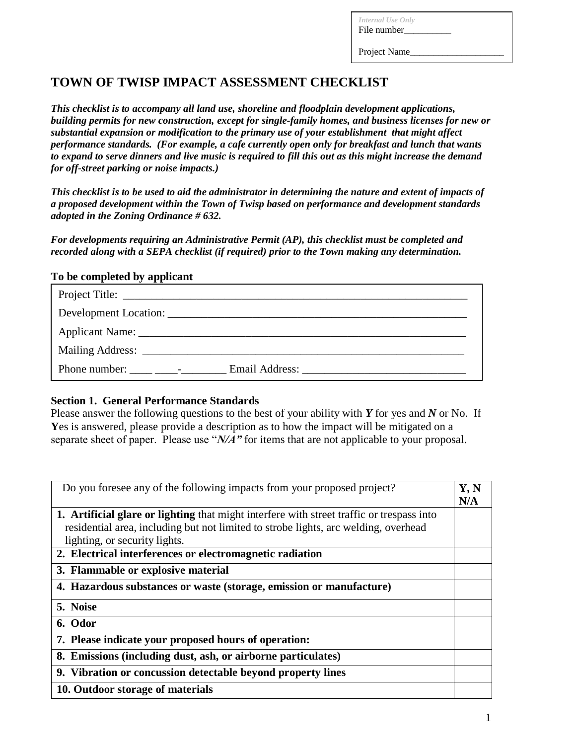*Internal Use Only* File number\_\_\_\_\_\_\_\_\_\_

Project Name

# **TOWN OF TWISP IMPACT ASSESSMENT CHECKLIST**

*This checklist is to accompany all land use, shoreline and floodplain development applications, building permits for new construction, except for single-family homes, and business licenses for new or substantial expansion or modification to the primary use of your establishment that might affect performance standards. (For example, a cafe currently open only for breakfast and lunch that wants to expand to serve dinners and live music is required to fill this out as this might increase the demand for off-street parking or noise impacts.)*

*This checklist is to be used to aid the administrator in determining the nature and extent of impacts of a proposed development within the Town of Twisp based on performance and development standards adopted in the Zoning Ordinance # 632.* 

*For developments requiring an Administrative Permit (AP), this checklist must be completed and recorded along with a SEPA checklist (if required) prior to the Town making any determination.*

## **To be completed by applicant**

| Development Location:                                                                                                                                                                                                                           |  |  |  |  |
|-------------------------------------------------------------------------------------------------------------------------------------------------------------------------------------------------------------------------------------------------|--|--|--|--|
|                                                                                                                                                                                                                                                 |  |  |  |  |
|                                                                                                                                                                                                                                                 |  |  |  |  |
| Phone number:<br>Email Address: No. 1996. The Second Second Second Second Second Second Second Second Second Second Second Second Second Second Second Second Second Second Second Second Second Second Second Second Second Second Second Seco |  |  |  |  |

## **Section 1. General Performance Standards**

Please answer the following questions to the best of your ability with *Y* for yes and *N* or No. If **Y**es is answered, please provide a description as to how the impact will be mitigated on a separate sheet of paper. Please use "*N/A"* for items that are not applicable to your proposal.

| Do you foresee any of the following impacts from your proposed project?                   | Y, N<br>N/A |
|-------------------------------------------------------------------------------------------|-------------|
| 1. Artificial glare or lighting that might interfere with street traffic or trespass into |             |
| residential area, including but not limited to strobe lights, arc welding, overhead       |             |
| lighting, or security lights.                                                             |             |
| 2. Electrical interferences or electromagnetic radiation                                  |             |
| 3. Flammable or explosive material                                                        |             |
| 4. Hazardous substances or waste (storage, emission or manufacture)                       |             |
| 5. Noise                                                                                  |             |
| 6. Odor                                                                                   |             |
| 7. Please indicate your proposed hours of operation:                                      |             |
| 8. Emissions (including dust, ash, or airborne particulates)                              |             |
| 9. Vibration or concussion detectable beyond property lines                               |             |
| 10. Outdoor storage of materials                                                          |             |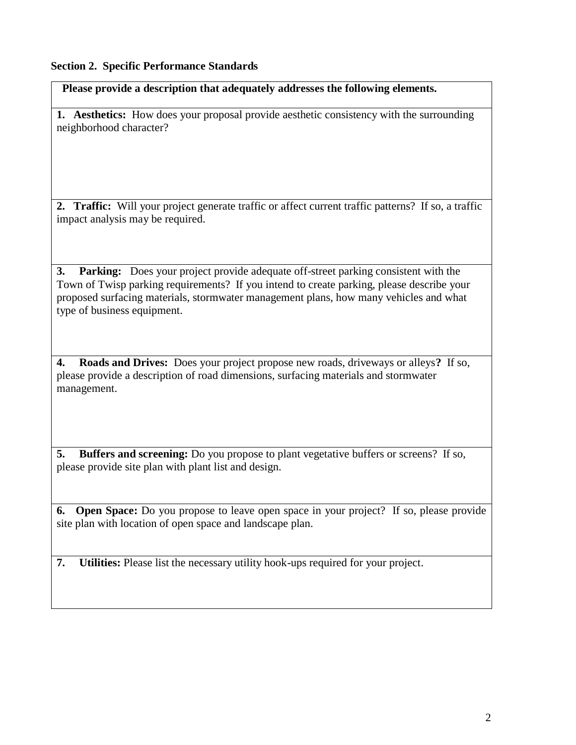## **Section 2. Specific Performance Standards**

 **Please provide a description that adequately addresses the following elements.**

**1. Aesthetics:** How does your proposal provide aesthetic consistency with the surrounding neighborhood character?

**2. Traffic:** Will your project generate traffic or affect current traffic patterns? If so, a traffic impact analysis may be required.

**3. Parking:** Does your project provide adequate off-street parking consistent with the Town of Twisp parking requirements? If you intend to create parking, please describe your proposed surfacing materials, stormwater management plans, how many vehicles and what type of business equipment.

**4. Roads and Drives:** Does your project propose new roads, driveways or alleys**?** If so, please provide a description of road dimensions, surfacing materials and stormwater management.

**5. Buffers and screening:** Do you propose to plant vegetative buffers or screens? If so, please provide site plan with plant list and design.

**6. Open Space:** Do you propose to leave open space in your project? If so, please provide site plan with location of open space and landscape plan.

**7. Utilities:** Please list the necessary utility hook-ups required for your project.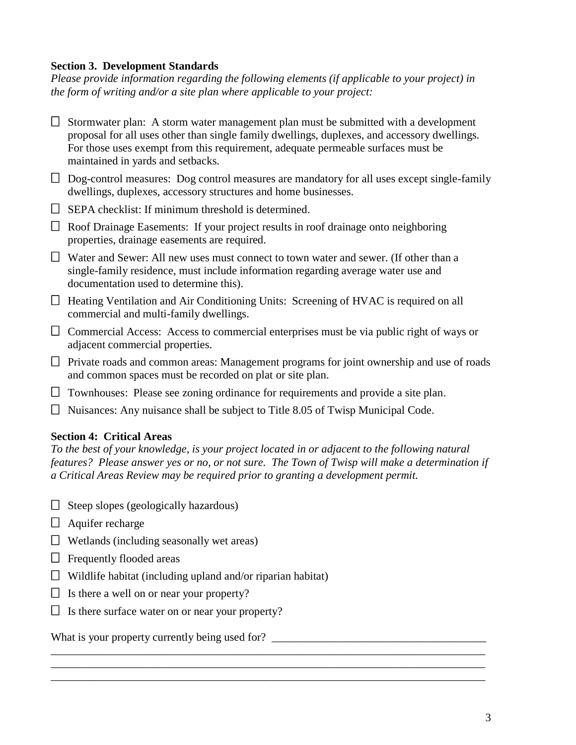## **Section 3. Development Standards**

*Please provide information regarding the following elements (if applicable to your project) in the form of writing and/or a site plan where applicable to your project:*

| $\Box$ | Stormwater plan: A storm water management plan must be submitted with a development<br>proposal for all uses other than single family dwellings, duplexes, and accessory dwellings.<br>For those uses exempt from this requirement, adequate permeable surfaces must be<br>maintained in yards and setbacks. |
|--------|--------------------------------------------------------------------------------------------------------------------------------------------------------------------------------------------------------------------------------------------------------------------------------------------------------------|
| $\Box$ | Dog-control measures: Dog control measures are mandatory for all uses except single-family<br>dwellings, duplexes, accessory structures and home businesses.                                                                                                                                                 |
| $\Box$ | SEPA checklist: If minimum threshold is determined.                                                                                                                                                                                                                                                          |
| $\Box$ | Roof Drainage Easements: If your project results in roof drainage onto neighboring<br>properties, drainage easements are required.                                                                                                                                                                           |
| $\Box$ | Water and Sewer: All new uses must connect to town water and sewer. (If other than a<br>single-family residence, must include information regarding average water use and<br>documentation used to determine this).                                                                                          |
| $\Box$ | Heating Ventilation and Air Conditioning Units: Screening of HVAC is required on all<br>commercial and multi-family dwellings.                                                                                                                                                                               |
| $\Box$ | Commercial Access: Access to commercial enterprises must be via public right of ways or<br>adjacent commercial properties.                                                                                                                                                                                   |
|        | $\Box$ Private roads and common areas: Management programs for joint ownership and use of roads<br>and common spaces must be recorded on plat or site plan.                                                                                                                                                  |
| $\Box$ | Townhouses: Please see zoning ordinance for requirements and provide a site plan.                                                                                                                                                                                                                            |
| $\Box$ | Nuisances: Any nuisance shall be subject to Title 8.05 of Twisp Municipal Code.                                                                                                                                                                                                                              |

## **Section 4: Critical Areas**

*To the best of your knowledge, is your project located in or adjacent to the following natural features? Please answer yes or no, or not sure. The Town of Twisp will make a determination if a Critical Areas Review may be required prior to granting a development permit.*

\_\_\_\_\_\_\_\_\_\_\_\_\_\_\_\_\_\_\_\_\_\_\_\_\_\_\_\_\_\_\_\_\_\_\_\_\_\_\_\_\_\_\_\_\_\_\_\_\_\_\_\_\_\_\_\_\_\_\_\_\_\_\_\_\_\_\_\_\_\_\_\_\_\_\_\_\_ \_\_\_\_\_\_\_\_\_\_\_\_\_\_\_\_\_\_\_\_\_\_\_\_\_\_\_\_\_\_\_\_\_\_\_\_\_\_\_\_\_\_\_\_\_\_\_\_\_\_\_\_\_\_\_\_\_\_\_\_\_\_\_\_\_\_\_\_\_\_\_\_\_\_\_\_\_ \_\_\_\_\_\_\_\_\_\_\_\_\_\_\_\_\_\_\_\_\_\_\_\_\_\_\_\_\_\_\_\_\_\_\_\_\_\_\_\_\_\_\_\_\_\_\_\_\_\_\_\_\_\_\_\_\_\_\_\_\_\_\_\_\_\_\_\_\_\_\_\_\_\_\_\_\_

- $\Box$  Steep slopes (geologically hazardous)
- $\Box$  Aquifer recharge
- $\Box$  Wetlands (including seasonally wet areas)
- $\Box$  Frequently flooded areas
- $\Box$  Wildlife habitat (including upland and/or riparian habitat)
- $\Box$  Is there a well on or near your property?
- $\Box$  Is there surface water on or near your property?

What is your property currently being used for?